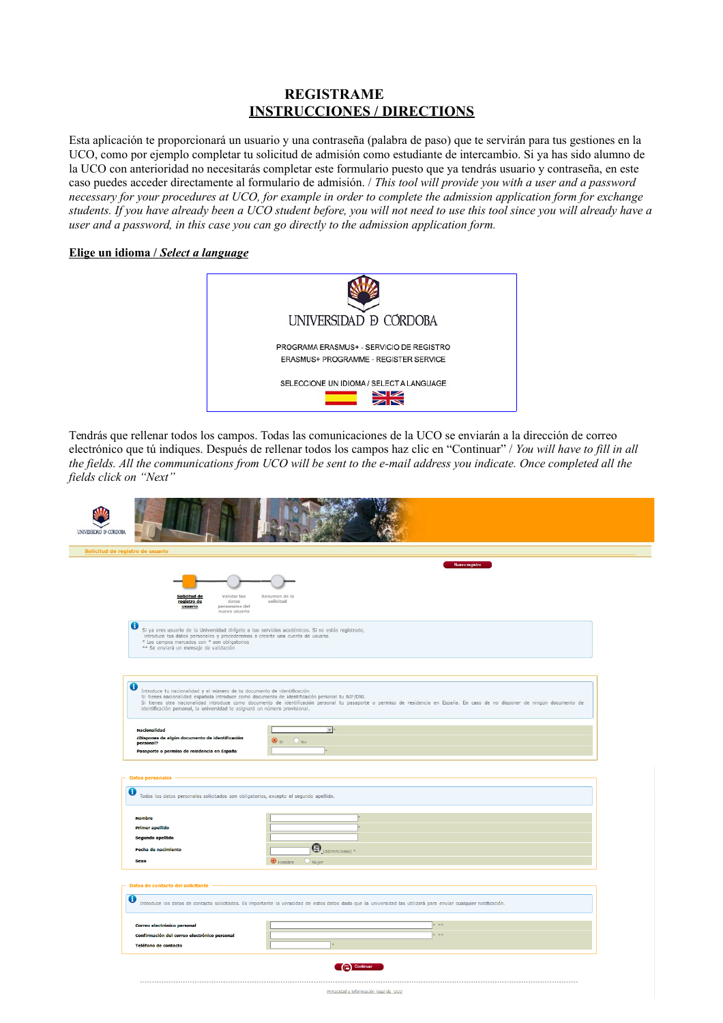## **REGISTRAME INSTRUCCIONES / DIRECTIONS**

Esta aplicación te proporcionará un usuario y una contraseña (palabra de paso) que te servirán para tus gestiones en la UCO, como por ejemplo completar tu solicitud de admisión como estudiante de intercambio. Si ya has sido alumno de la UCO con anterioridad no necesitarás completar este formulario puesto que ya tendrás usuario y contraseña, en este caso puedes acceder directamente al formulario de admisión. / *This tool will provide you with a user and a password necessary for your procedures at UCO, for example in order to complete the admission application form for exchange students. If you have already been a UCO student before, you will not need to use this tool since you will already have a user and a password, in this case you can go directly to the admission application form.*

## **Elige un idioma /** *Select a language*



Tendrás que rellenar todos los campos. Todas las comunicaciones de la UCO se enviarán a la dirección de correo electrónico que tú indiques. Después de rellenar todos los campos haz clic en "Continuar" / *You will have to fill in all the fields. All the communications from UCO will be sent to the e-mail address you indicate. Once completed all the fields click on "Next"*

| UNIVERSIDAD <b>D</b> CORDOBA                                                                                                                                                                                                                                                   |                                                                                                                                                                               |
|--------------------------------------------------------------------------------------------------------------------------------------------------------------------------------------------------------------------------------------------------------------------------------|-------------------------------------------------------------------------------------------------------------------------------------------------------------------------------|
| Solicitud de registro de usuario                                                                                                                                                                                                                                               |                                                                                                                                                                               |
| Validar los<br>Solicitud de<br>registro de<br>datos<br>personales del<br>usuario<br>.<br>nuevo usuario                                                                                                                                                                         | Nuevo registro<br>Resumen de la<br>solicitud                                                                                                                                  |
| ❶<br>Si ya eres usuario de la Universidad dirígete a tus servicios académicos. Si no estás registrado, introduce tus datos personales y procederemos a crearte una cuenta de usuario<br>* Los campos marcados con * son obligatorios<br>** Se enviará un mensaje de validación |                                                                                                                                                                               |
| ω<br>Introduce tu nacionalidad y el número de tu documento de identificación.<br>Si tienes nacionalidad española introduce como documento de identificación personal tu NIF/DNI.<br>identificación personal, la universidad te asignará un número provisional.                 | Si tienes otra nacionalidad introduce como documento de identificación personal tu pasaporte o permiso de residencia en España. En caso de no disponer de ningún documento de |
| <b>Nacionalidad</b><br>¿Dispones de algún documento de identificación<br>personal?<br>Pasaporte o permiso de residencia en España                                                                                                                                              | ٠<br>$\bigcirc$ No<br>$<$ i                                                                                                                                                   |
| <b>Datos personales</b><br>Todos los datos personales solicitados son obligatorios, excepto el segundo apellido.                                                                                                                                                               |                                                                                                                                                                               |
| <b>Nombre</b><br><b>Primer apellido</b><br>Segundo apellido<br><b>Fecha de nacimiento</b><br><b>Sexo</b>                                                                                                                                                                       | $\bigoplus_{\substack{\text{def}\nmid\ (\mathrm{dd}/\mathrm{mm}/\mathrm{aaaa})}}$ *<br>$\bigcirc$ Mujer<br>Hombre                                                             |
| Datos de contacto del solicitante -<br>O                                                                                                                                                                                                                                       | Introduce los datos de contacto solicitados. Es importante la veracidad de estos datos dado que la universidad las utilizará para enviar cualquier notificación.              |
| Correo electrónico personal<br>Confirmación del correo electrónico personal<br><b>Teléfono de contacto</b>                                                                                                                                                                     | <b>KINK</b><br><b>KINK</b>                                                                                                                                                    |
|                                                                                                                                                                                                                                                                                | Cap Continuar<br>Privacidad e Información legal de UCO                                                                                                                        |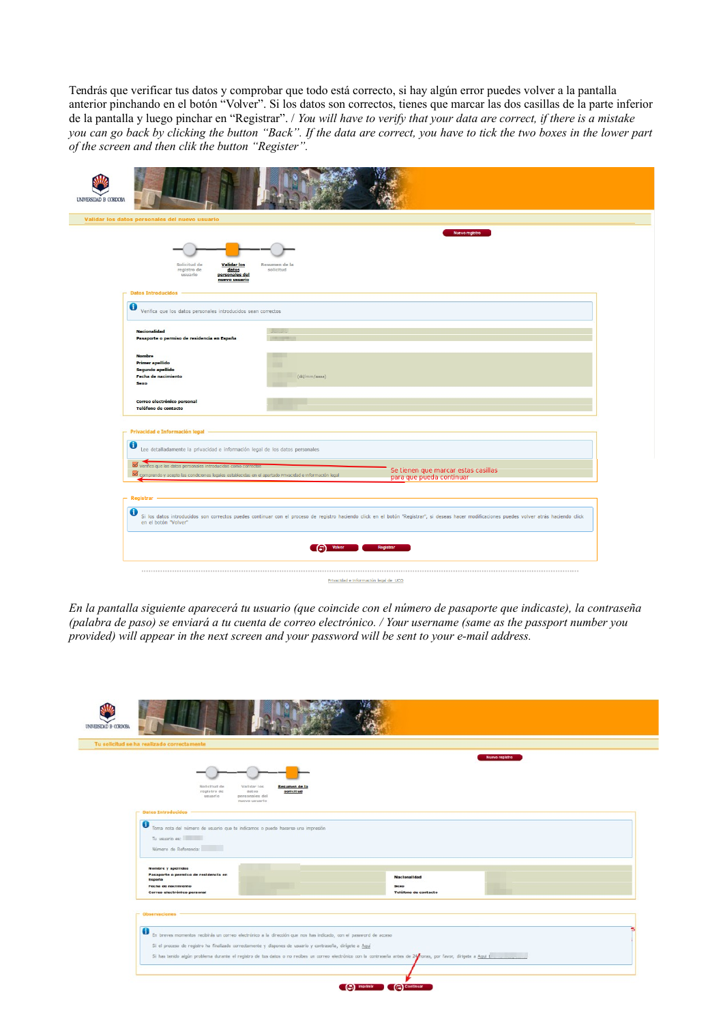Tendrás que verificar tus datos y comprobar que todo está correcto, si hay algún error puedes volver a la pantalla anterior pinchando en el botón "Volver". Si los datos son correctos, tienes que marcar las dos casillas de la parte inferior de la pantalla y luego pinchar en "Registrar". / *You will have to verify that your data are correct, if there is a mistake you can go back by clicking the button "Back". If the data are correct, you have to tick the two boxes in the lower part of the screen and then clik the button "Register".*

| UNIVERSIDAD <b>B CORDOBA</b>                                                                                                                                                                                                                                                                              |                                                                                                                                                                                               |
|-----------------------------------------------------------------------------------------------------------------------------------------------------------------------------------------------------------------------------------------------------------------------------------------------------------|-----------------------------------------------------------------------------------------------------------------------------------------------------------------------------------------------|
| Validar los datos personales del nuevo usuario                                                                                                                                                                                                                                                            |                                                                                                                                                                                               |
| Solicitud de<br><b>Validar</b> los<br>registro de<br>datos<br>usuario<br>personales del<br>nuevo usuario<br>- Datos Introducidos -                                                                                                                                                                        | Nuevo registro<br>Resumen de la<br>solicitud                                                                                                                                                  |
| $\mathbf 0$<br>Verifica que los datos personales introducidos sean correctos                                                                                                                                                                                                                              |                                                                                                                                                                                               |
| <b>Nacionalidad</b><br>Pasaporte o permiso de residencia en España                                                                                                                                                                                                                                        |                                                                                                                                                                                               |
| <b>Nombre</b><br><b>Primer apellido</b><br>Segundo apellido<br><b>Fecha de nacimiento</b><br><b>Sexo</b>                                                                                                                                                                                                  | (dd/mm/aaaa)                                                                                                                                                                                  |
| Correo electrónico personal<br>Teléfono de contacto                                                                                                                                                                                                                                                       |                                                                                                                                                                                               |
| - Privacidad e Información legal -<br>$\bullet$<br>Lee detalladamente la privacidad e información legal de los datos personales<br>Verifico que los datos personales introducidos como correctos<br>Comprendo y acepto las condiciones legales establecidas en el apartado Privacidad e información legal | Se tienen que marcar estas casillas<br>para que pueda continuar                                                                                                                               |
| $-$ Registrar $-$                                                                                                                                                                                                                                                                                         |                                                                                                                                                                                               |
| 0<br>en el botón "Volver"                                                                                                                                                                                                                                                                                 | Si los datos introducidos son correctos puedes continuar con el proceso de registro haciendo click en el botón "Registrar", si deseas hacer modificaciones puedes volver atrás haciendo click |
|                                                                                                                                                                                                                                                                                                           | $\left(\begin{matrix} \cdot & \cdot \\ \cdot & \cdot \end{matrix}\right)$ Volver<br>Registrar                                                                                                 |
|                                                                                                                                                                                                                                                                                                           | Privacidad e Información legal de UCO                                                                                                                                                         |

*En la pantalla siguiente aparecerá tu usuario (que coincide con el número de pasaporte que indicaste), la contraseña (palabra de paso) se enviará a tu cuenta de correo electrónico. / Your username (same as the passport number you provided) will appear in the next screen and your password will be sent to your e-mail address.*

|          |                                                                                                                   |                                                    |                              | Nuevo registro |  |
|----------|-------------------------------------------------------------------------------------------------------------------|----------------------------------------------------|------------------------------|----------------|--|
|          |                                                                                                                   |                                                    |                              |                |  |
|          | Solicitud de<br>registro de                                                                                       | Validar los<br>Resumen de la<br>datos<br>solicitud |                              |                |  |
|          | usuario                                                                                                           | personales del<br>nuevo usuario                    |                              |                |  |
|          | pates Introducidos -                                                                                              |                                                    |                              |                |  |
| $\bf{0}$ | Toma nota del número de usuario que te indicamos o puede hacerse una impresión                                    |                                                    |                              |                |  |
|          | Tu usuario es:                                                                                                    |                                                    |                              |                |  |
|          | Número de Referencia:                                                                                             |                                                    |                              |                |  |
|          | Nombre y apellidos                                                                                                |                                                    |                              |                |  |
| España   | Pasaporte o permiso de residencia en                                                                              |                                                    | <b>Nacionalidad</b>          |                |  |
|          | Fecha de nacimiento<br>Correo electrónico personal                                                                |                                                    | Sexo<br>Teléfono de contacto |                |  |
|          |                                                                                                                   |                                                    |                              |                |  |
|          | $\Gamma$ Observaciones                                                                                            |                                                    |                              |                |  |
|          |                                                                                                                   |                                                    |                              |                |  |
|          |                                                                                                                   |                                                    |                              |                |  |
|          | En breves momentos recibirás un correo electrónico a la dirección que nos has indicado, con el password de acceso |                                                    |                              |                |  |